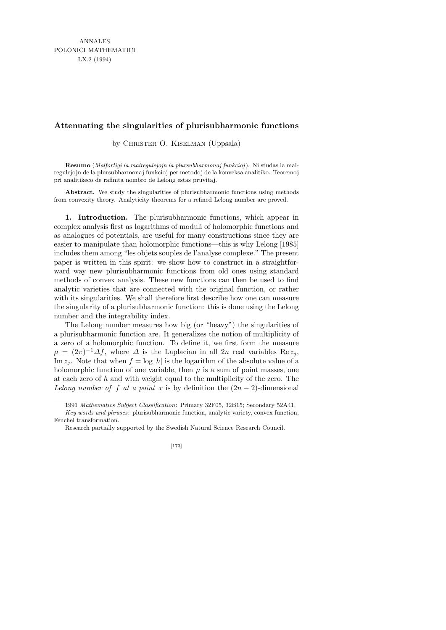## **Attenuating the singularities of plurisubharmonic functions**

by CHRISTER O. KISELMAN (Uppsala)

**Resumo** (*Malfortigi la malregulejojn la plursubharmonaj funkcioj*). Ni studas la malregulejojn de la plursubharmonaj funkcioj per metodoj de la konveksa analitiko. Teoremoj pri analitikeco de rafinita nombro de Lelong estas pruvitaj.

**Abstract.** We study the singularities of plurisubharmonic functions using methods from convexity theory. Analyticity theorems for a refined Lelong number are proved.

1. Introduction. The plurisubharmonic functions, which appear in complex analysis first as logarithms of moduli of holomorphic functions and as analogues of potentials, are useful for many constructions since they are easier to manipulate than holomorphic functions—this is why Lelong [1985] includes them among "les objets souples de l'analyse complexe." The present paper is written in this spirit: we show how to construct in a straightforward way new plurisubharmonic functions from old ones using standard methods of convex analysis. These new functions can then be used to find analytic varieties that are connected with the original function, or rather with its singularities. We shall therefore first describe how one can measure the singularity of a plurisubharmonic function: this is done using the Lelong number and the integrability index.

The Lelong number measures how big (or "heavy") the singularities of a plurisubharmonic function are. It generalizes the notion of multiplicity of a zero of a holomorphic function. To define it, we first form the measure  $\mu = (2\pi)^{-1} \Delta f$ , where  $\Delta$  is the Laplacian in all  $2n$  real variables Re  $z_j$ , Im  $z_i$ . Note that when  $f = \log|h|$  is the logarithm of the absolute value of a holomorphic function of one variable, then  $\mu$  is a sum of point masses, one at each zero of  $h$  and with weight equal to the multiplicity of the zero. The Lelong number of f at a point x is by definition the  $(2n-2)$ -dimensional

[173]

<sup>1991</sup> *Mathematics Subject Classification*: Primary 32F05, 32B15; Secondary 52A41. *Key words and phrases*: plurisubharmonic function, analytic variety, convex function, Fenchel transformation.

Research partially supported by the Swedish Natural Science Research Council.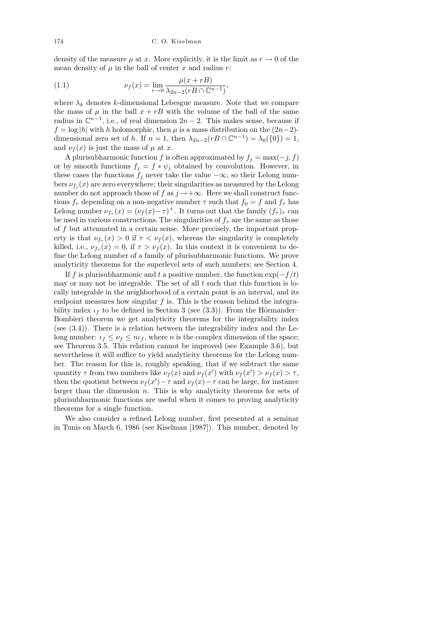density of the measure  $\mu$  at x. More explicitly, it is the limit as  $r \to 0$  of the mean density of  $\mu$  in the ball of center  $x$  and radius  $r$ :

(1.1) 
$$
\nu_f(x) = \lim_{r \to 0} \frac{\mu(x + rB)}{\lambda_{2n - 2}(rB \cap \mathbb{C}^{n-1})},
$$

where  $\lambda_k$  denotes k-dimensional Lebesgue measure. Note that we compare the mass of  $\mu$  in the ball  $x + rB$  with the volume of the ball of the same radius in  $\mathbb{C}^{n-1}$ , i.e., of real dimension  $2n-2$ . This makes sense, because if  $f = \log |h|$  with h holomorphic, then  $\mu$  is a mass distribution on the  $(2n-2)$ dimensional zero set of h. If  $n = 1$ , then  $\lambda_{2n-2}(rB \cap \mathbb{C}^{n-1}) = \lambda_0(\{0\}) = 1$ , and  $\nu_f(x)$  is just the mass of  $\mu$  at x.

A plurisubharmonic function f is often approximated by  $f_i = \max(-j, f)$ or by smooth functions  $f_j = f * \psi_j$  obtained by convolution. However, in these cases the functions  $f_i$  never take the value  $-\infty$ , so their Lelong numbers  $\nu_{f_j}(x)$  are zero everywhere; their singularities as measured by the Lelong number do not approach those of f as  $j \rightarrow +\infty$ . Here we shall construct functions  $f_{\tau}$  depending on a non-negative number  $\tau$  such that  $f_0 = f$  and  $f_{\tau}$  has Lelong number  $\nu_{f_{\tau}}(x) = (\nu_f(x) - \tau)^+$ . It turns out that the family  $(f_{\tau})_{\tau}$  can be used in various constructions. The singularities of  $f_{\tau}$  are the same as those of  $f$  but attenuated in a certain sense. More precisely, the important property is that  $\nu_{f_{\tau}}(x) > 0$  if  $\tau < \nu_f(x)$ , whereas the singularity is completely killed, i.e.,  $\nu_{f_{\tau}}(x) = 0$ , if  $\tau > \nu_{f}(x)$ . In this context it is convenient to define the Lelong number of a family of plurisubharmonic functions. We prove analyticity theorems for the superlevel sets of such numbers; see Section 4.

If f is plurisubharmonic and t a positive number, the function  $\exp(-f/t)$ may or may not be integrable. The set of all  $t$  such that this function is locally integrable in the neighborhood of a certain point is an interval, and its endpoint measures how singular  $f$  is. This is the reason behind the integrability index  $\iota_f$  to be defined in Section 3 (see (3.3)). From the Hörmander– Bombieri theorem we get analyticity theorems for the integrability index (see (3.4)). There is a relation between the integrability index and the Lelong number:  $\iota_f \leq \nu_f \leq n\iota_f$ , where *n* is the complex dimension of the space; see Theorem 3.5. This relation cannot be improved (see Example 3.6), but nevertheless it will suffice to yield analyticity theorems for the Lelong number. The reason for this is, roughly speaking, that if we subtract the same quantity  $\tau$  from two numbers like  $\nu_f(x)$  and  $\nu_f(x')$  with  $\nu_f(x') > \nu_f(x) > \tau$ , then the quotient between  $\nu_f(x') - \tau$  and  $\nu_f(x) - \tau$  can be large, for instance larger than the dimension  $n$ . This is why analyticity theorems for sets of plurisubharmonic functions are useful when it comes to proving analyticity theorems for a single function.

We also consider a refined Lelong number, first presented at a seminar in Tunis on March 6, 1986 (see Kiselman [1987]). This number, denoted by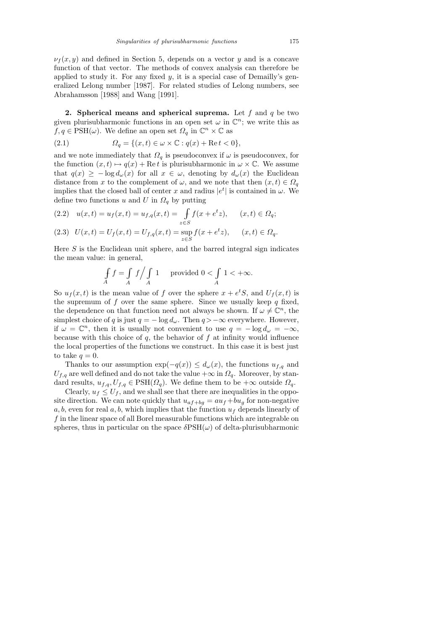$\nu_f(x, y)$  and defined in Section 5, depends on a vector y and is a concave function of that vector. The methods of convex analysis can therefore be applied to study it. For any fixed  $y$ , it is a special case of Demailly's generalized Lelong number [1987]. For related studies of Lelong numbers, see Abrahamsson [1988] and Wang [1991].

2. Spherical means and spherical suprema. Let f and  $q$  be two given plurisubharmonic functions in an open set  $\omega$  in  $\mathbb{C}^n$ ; we write this as  $f, q \in \text{PSH}(\omega)$ . We define an open set  $\Omega_q$  in  $\mathbb{C}^n \times \mathbb{C}$  as

(2.1) 
$$
\Omega_q = \{(x, t) \in \omega \times \mathbb{C} : q(x) + \text{Re } t < 0\},
$$

and we note immediately that  $\Omega_q$  is pseudoconvex if  $\omega$  is pseudoconvex, for the function  $(x, t) \mapsto q(x) + \text{Re } t$  is plurisubharmonic in  $\omega \times \mathbb{C}$ . We assume that  $q(x) \geq -\log d_{\omega}(x)$  for all  $x \in \omega$ , denoting by  $d_{\omega}(x)$  the Euclidean distance from x to the complement of  $\omega$ , and we note that then  $(x, t) \in \Omega_a$ implies that the closed ball of center x and radius  $|e^t|$  is contained in  $\omega$ . We define two functions u and U in  $\Omega_q$  by putting

$$
(2.2) \quad u(x,t) = u_f(x,t) = u_{f,q}(x,t) = \int_{z \in S} f(x + e^t z), \quad (x,t) \in \Omega_q;
$$

$$
(2.3) \quad U(x,t) = U_f(x,t) = U_{f,q}(x,t) = \sup_{z \in S} f(x + e^t z), \qquad (x,t) \in \Omega_q.
$$

Here  $S$  is the Euclidean unit sphere, and the barred integral sign indicates the mean value: in general,

$$
\int_A f = \int_A f / \int_A 1 \quad \text{provided } 0 < \int_A 1 < +\infty.
$$

So  $u_f(x,t)$  is the mean value of f over the sphere  $x + e^tS$ , and  $U_f(x,t)$  is the supremum of f over the same sphere. Since we usually keep  $q$  fixed, the dependence on that function need not always be shown. If  $\omega \neq \mathbb{C}^n$ , the simplest choice of q is just  $q = -\log d_{\omega}$ . Then  $q > -\infty$  everywhere. However, if  $\omega = \mathbb{C}^n$ , then it is usually not convenient to use  $q = -\log d_{\omega} = -\infty$ , because with this choice of  $q$ , the behavior of  $f$  at infinity would influence the local properties of the functions we construct. In this case it is best just to take  $q = 0$ .

Thanks to our assumption  $\exp(-q(x)) \leq d_{\omega}(x)$ , the functions  $u_{f,q}$  and  $U_{f,q}$  are well defined and do not take the value  $+\infty$  in  $\Omega_q$ . Moreover, by standard results,  $u_{f,q}, U_{f,q} \in \text{PSH}(\Omega_q)$ . We define them to be  $+\infty$  outside  $\Omega_q$ .

Clearly,  $u_f \leq U_f$ , and we shall see that there are inequalities in the opposite direction. We can note quickly that  $u_{af+bg} = au_f + bu_g$  for non-negative  $a, b$ , even for real  $a, b$ , which implies that the function  $u_f$  depends linearly of f in the linear space of all Borel measurable functions which are integrable on spheres, thus in particular on the space  $\delta$ PSH $(\omega)$  of delta-plurisubharmonic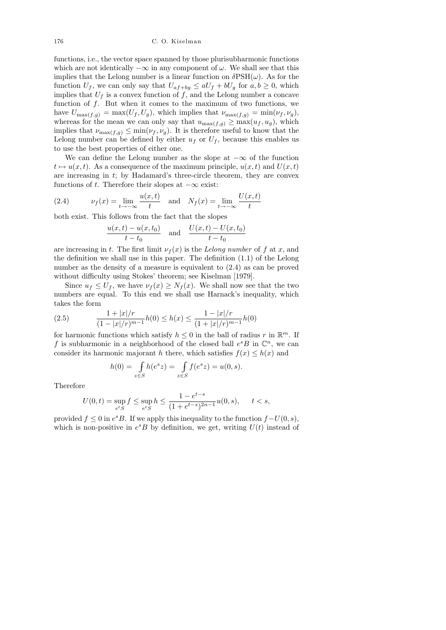## 176 C. O. Kiselman

functions, i.e., the vector space spanned by those plurisubharmonic functions which are not identically  $-\infty$  in any component of  $\omega$ . We shall see that this implies that the Lelong number is a linear function on  $\delta \text{PSH}(\omega)$ . As for the function  $U_f$ , we can only say that  $U_{af+bg} \leq aU_f + bU_g$  for  $a, b \geq 0$ , which implies that  $U_f$  is a convex function of f, and the Lelong number a concave function of  $f$ . But when it comes to the maximum of two functions, we have  $U_{\max(f,g)} = \max(U_f, U_g)$ , which implies that  $\nu_{\max(f,g)} = \min(\nu_f, \nu_g)$ , whereas for the mean we can only say that  $u_{\max(f,g)} \geq \max(u_f, u_g)$ , which implies that  $\nu_{\max(f,g)} \leq \min(\nu_f, \nu_g)$ . It is therefore useful to know that the Lelong number can be defined by either  $u_f$  or  $U_f$ , because this enables us to use the best properties of either one.

We can define the Lelong number as the slope at  $-\infty$  of the function  $t \mapsto u(x, t)$ . As a consequence of the maximum principle,  $u(x, t)$  and  $U(x, t)$ are increasing in t; by Hadamard's three-circle theorem, they are convex functions of t. Therefore their slopes at  $-\infty$  exist:

(2.4) 
$$
v_f(x) = \lim_{t \to -\infty} \frac{u(x, t)}{t}
$$
 and  $N_f(x) = \lim_{t \to -\infty} \frac{U(x, t)}{t}$ 

both exist. This follows from the fact that the slopes

$$
\frac{u(x,t) - u(x,t_0)}{t - t_0} \quad \text{and} \quad \frac{U(x,t) - U(x,t_0)}{t - t_0}
$$

are increasing in t. The first limit  $\nu_f(x)$  is the Lelong number of f at x, and the definition we shall use in this paper. The definition (1.1) of the Lelong number as the density of a measure is equivalent to (2.4) as can be proved without difficulty using Stokes' theorem; see Kiselman [1979].

Since  $u_f \leq U_f$ , we have  $\nu_f(x) \geq N_f(x)$ . We shall now see that the two numbers are equal. To this end we shall use Harnack's inequality, which takes the form

(2.5) 
$$
\frac{1+|x|/r}{(1-|x|/r)^{m-1}}h(0) \le h(x) \le \frac{1-|x|/r}{(1+|x|/r)^{m-1}}h(0)
$$

for harmonic functions which satisfy  $h \leq 0$  in the ball of radius r in  $\mathbb{R}^m$ . If f is subharmonic in a neighborhood of the closed ball  $e^sB$  in  $\mathbb{C}^n$ , we can consider its harmonic majorant h there, which satisfies  $f(x) \leq h(x)$  and

$$
h(0) = \int_{z \in S} h(e^s z) = \int_{z \in S} f(e^s z) = u(0, s).
$$

Therefore

$$
U(0,t) = \sup_{e^t S} f \le \sup_{e^t S} h \le \frac{1 - e^{t-s}}{(1 + e^{t-s})^{2n-1}} u(0,s), \qquad t < s,
$$

provided  $f \leq 0$  in  $e^s B$ . If we apply this inequality to the function  $f-U(0, s)$ , which is non-positive in  $e^sB$  by definition, we get, writing  $U(t)$  instead of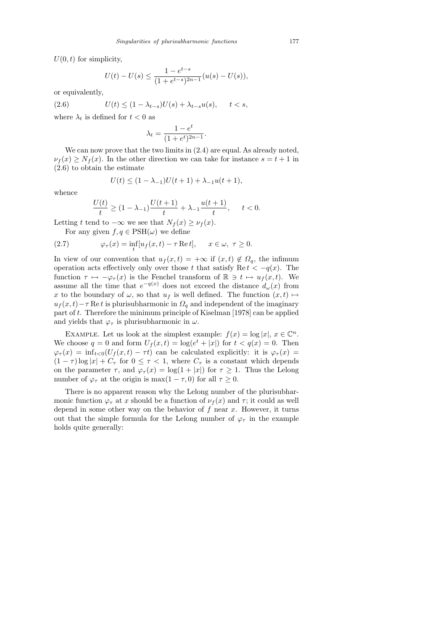$U(0, t)$  for simplicity,

$$
U(t) - U(s) \le \frac{1 - e^{t - s}}{(1 + e^{t - s})^{2n - 1}} (u(s) - U(s)),
$$

or equivalently,

(2.6) 
$$
U(t) \leq (1 - \lambda_{t-s})U(s) + \lambda_{t-s}u(s), \quad t < s,
$$

where  $\lambda_t$  is defined for  $t < 0$  as

$$
\lambda_t = \frac{1 - e^t}{(1 + e^t)^{2n - 1}}.
$$

We can now prove that the two limits in  $(2.4)$  are equal. As already noted,  $\nu_f(x) \geq N_f(x)$ . In the other direction we can take for instance  $s = t + 1$  in (2.6) to obtain the estimate

$$
U(t) \le (1 - \lambda_{-1})U(t+1) + \lambda_{-1}u(t+1),
$$

whence

$$
\frac{U(t)}{t} \ge (1 - \lambda_{-1}) \frac{U(t+1)}{t} + \lambda_{-1} \frac{u(t+1)}{t}, \quad t < 0.
$$

Letting t tend to  $-\infty$  we see that  $N_f(x) \geq \nu_f(x)$ .

For any given  $f, q \in \text{PSH}(\omega)$  we define

(2.7) 
$$
\varphi_{\tau}(x) = \inf_{t} [u_f(x, t) - \tau \operatorname{Re} t], \quad x \in \omega, \ \tau \ge 0.
$$

In view of our convention that  $u_f(x,t) = +\infty$  if  $(x,t) \notin \Omega_q$ , the infimum operation acts effectively only over those t that satisfy Re  $t < -q(x)$ . The function  $\tau \mapsto -\varphi_{\tau}(x)$  is the Fenchel transform of  $\mathbb{R} \ni t \mapsto u_f(x, t)$ . We assume all the time that  $e^{-q(x)}$  does not exceed the distance  $d_{\omega}(x)$  from x to the boundary of  $\omega$ , so that  $u_f$  is well defined. The function  $(x, t) \mapsto$  $u_f(x,t)$ − $\tau$  Ret is plurisubharmonic in  $\Omega_q$  and independent of the imaginary part of  $t$ . Therefore the minimum principle of Kiselman [1978] can be applied and yields that  $\varphi_{\tau}$  is plurisubharmonic in  $\omega$ .

EXAMPLE. Let us look at the simplest example:  $f(x) = \log |x|, x \in \mathbb{C}^n$ . We choose  $q = 0$  and form  $U_f(x,t) = \log(e^t + |x|)$  for  $t < q(x) = 0$ . Then  $\varphi_{\tau}(x) = \inf_{t < 0} (U_f(x, t) - \tau t)$  can be calculated explicitly: it is  $\varphi_{\tau}(x) =$  $(1 - \tau) \log |x| + C_{\tau}$  for  $0 \leq \tau < 1$ , where  $C_{\tau}$  is a constant which depends on the parameter  $\tau$ , and  $\varphi_{\tau}(x) = \log(1+|x|)$  for  $\tau \geq 1$ . Thus the Lelong number of  $\varphi_{\tau}$  at the origin is max $(1 - \tau, 0)$  for all  $\tau \geq 0$ .

There is no apparent reason why the Lelong number of the plurisubharmonic function  $\varphi_{\tau}$  at x should be a function of  $\nu_{f}(x)$  and  $\tau$ ; it could as well depend in some other way on the behavior of  $f$  near  $x$ . However, it turns out that the simple formula for the Lelong number of  $\varphi_{\tau}$  in the example holds quite generally: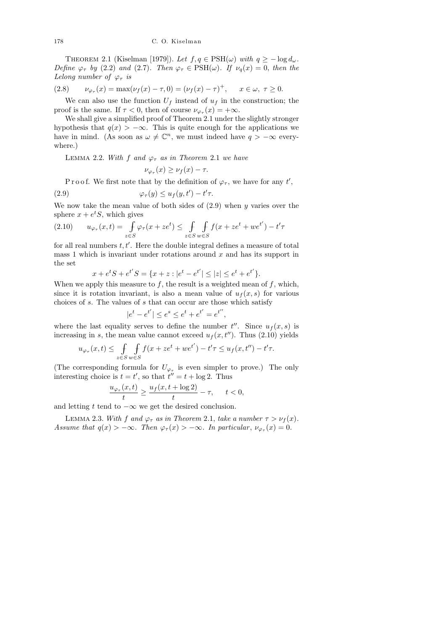THEOREM 2.1 (Kiselman [1979]). Let  $f, q \in \text{PSH}(\omega)$  with  $q \ge -\log d_{\omega}$ . Define  $\varphi_{\tau}$  by (2.2) and (2.7). Then  $\varphi_{\tau} \in \mathrm{PSH}(\omega)$ . If  $\nu_q(x) = 0$ , then the Lelong number of  $\varphi_{\tau}$  is

(2.8) 
$$
\nu_{\varphi_{\tau}}(x) = \max(\nu_f(x) - \tau, 0) = (\nu_f(x) - \tau)^+, \quad x \in \omega, \ \tau \ge 0.
$$

We can also use the function  $U_f$  instead of  $u_f$  in the construction; the proof is the same. If  $\tau < 0$ , then of course  $\nu_{\varphi_{\tau}}(x) = +\infty$ .

We shall give a simplified proof of Theorem 2.1 under the slightly stronger hypothesis that  $q(x) > -\infty$ . This is quite enough for the applications we have in mind. (As soon as  $\omega \neq \mathbb{C}^n$ , we must indeed have  $q > -\infty$  everywhere.)

LEMMA 2.2. With f and  $\varphi_{\tau}$  as in Theorem 2.1 we have

$$
\nu_{\varphi_{\tau}}(x) \geq \nu_f(x) - \tau.
$$

P r o o f. We first note that by the definition of  $\varphi_{\tau}$ , we have for any t',

(2.9) 
$$
\varphi_{\tau}(y) \le u_f(y, t') - t'\tau.
$$

We now take the mean value of both sides of  $(2.9)$  when y varies over the sphere  $x + e^t S$ , which gives

$$
(2.10) \qquad u_{\varphi_{\tau}}(x,t) = \int_{z \in S} \varphi_{\tau}(x+ze^t) \le \int_{z \in S} \int_{w \in S} f(x+ze^t + we^{t'}) - t'\tau
$$

for all real numbers  $t, t'$ . Here the double integral defines a measure of total mass 1 which is invariant under rotations around  $x$  and has its support in the set

$$
x + e^t S + e^{t'} S = \{x + z : |e^t - e^{t'}| \le |z| \le e^t + e^{t'}\}.
$$

When we apply this measure to  $f$ , the result is a weighted mean of  $f$ , which, since it is rotation invariant, is also a mean value of  $u<sub>f</sub>(x, s)$  for various choices of s. The values of s that can occur are those which satisfy

$$
|e^t - e^{t'}| \le e^s \le e^t + e^{t'} = e^{t''},
$$

where the last equality serves to define the number  $t''$ . Since  $u_f(x, s)$  is increasing in s, the mean value cannot exceed  $u_f(x, t'')$ . Thus (2.10) yields

$$
u_{\varphi_{\tau}}(x,t) \le \int\limits_{z \in S} \int\limits_{w \in S} f(x + ze^t + we^{t'}) - t'\tau \le u_f(x,t'') - t'\tau.
$$

(The corresponding formula for  $U_{\varphi_{\tau}}$  is even simpler to prove.) The only interesting choice is  $t = t'$ , so that  $t'' = t + \log 2$ . Thus

$$
\frac{u_{\varphi_{\tau}}(x,t)}{t} \ge \frac{u_f(x,t+\log 2)}{t} - \tau, \quad t < 0,
$$

and letting t tend to  $-\infty$  we get the desired conclusion.

LEMMA 2.3. With f and  $\varphi_{\tau}$  as in Theorem 2.1, take a number  $\tau > \nu_f(x)$ . Assume that  $q(x) > -\infty$ . Then  $\varphi_{\tau}(x) > -\infty$ . In particular,  $\nu_{\varphi_{\tau}}(x) = 0$ .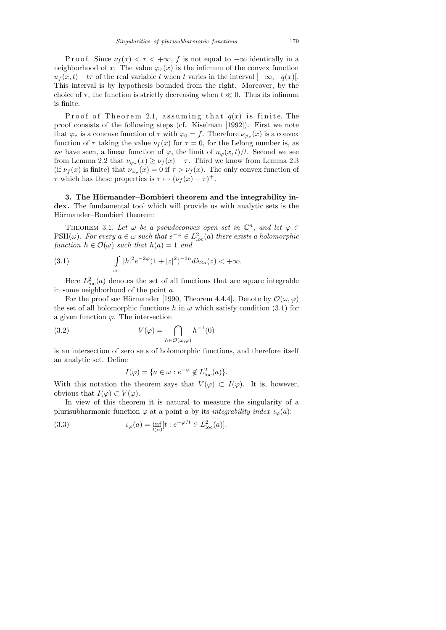P r o o f. Since  $\nu_f(x) < \tau < +\infty$ , f is not equal to  $-\infty$  identically in a neighborhood of x. The value  $\varphi_{\tau}(x)$  is the infimum of the convex function  $u_f(x, t) - t\tau$  of the real variable t when t varies in the interval  $[-\infty, -q(x)]$ . This interval is by hypothesis bounded from the right. Moreover, by the choice of  $\tau$ , the function is strictly decreasing when  $t \ll 0$ . Thus its infimum is finite.

Proof of Theorem 2.1, assuming that  $q(x)$  is finite. The proof consists of the following steps (cf. Kiselman [1992]). First we note that  $\varphi_{\tau}$  is a concave function of  $\tau$  with  $\varphi_0 = f$ . Therefore  $\nu_{\varphi_{\tau}}(x)$  is a convex function of  $\tau$  taking the value  $\nu_f(x)$  for  $\tau = 0$ , for the Lelong number is, as we have seen, a linear function of  $\varphi$ , the limit of  $u_{\varphi}(x, t)/t$ . Second we see from Lemma 2.2 that  $\nu_{\varphi_{\tau}}(x) \geq \nu_f(x) - \tau$ . Third we know from Lemma 2.3 (if  $\nu_f(x)$  is finite) that  $\nu_{\varphi_{\tau}}(x) = 0$  if  $\tau > \nu_f(x)$ . The only convex function of  $\tau$  which has these properties is  $\tau \mapsto (\nu_f(x) - \tau)^+$ .

3. The Hörmander–Bombieri theorem and the integrability index. The fundamental tool which will provide us with analytic sets is the Hörmander–Bombieri theorem:

THEOREM 3.1. Let  $\omega$  be a pseudoconvex open set in  $\mathbb{C}^n$ , and let  $\varphi \in$  $\mathrm{PSH}(\omega)$ . For every  $a \in \omega$  such that  $e^{-\varphi} \in L^2_{\mathrm{loc}}(a)$  there exists a holomorphic function  $h \in \mathcal{O}(\omega)$  such that  $h(a) = 1$  and

(3.1) 
$$
\int_{\omega} |h|^2 e^{-2\varphi} (1+|z|^2)^{-3n} d\lambda_{2n}(z) < +\infty.
$$

Here  $L_{\text{loc}}^2(a)$  denotes the set of all functions that are square integrable in some neighborhood of the point a.

For the proof see Hörmander [1990, Theorem 4.4.4]. Denote by  $\mathcal{O}(\omega, \varphi)$ the set of all holomorphic functions h in  $\omega$  which satisfy condition (3.1) for a given function  $\varphi$ . The intersection

(3.2) 
$$
V(\varphi) = \bigcap_{h \in \mathcal{O}(\omega, \varphi)} h^{-1}(0)
$$

is an intersection of zero sets of holomorphic functions, and therefore itself an analytic set. Define

$$
I(\varphi) = \{ a \in \omega : e^{-\varphi} \notin L^2_{\text{loc}}(a) \}.
$$

With this notation the theorem says that  $V(\varphi) \subset I(\varphi)$ . It is, however, obvious that  $I(\varphi) \subset V(\varphi)$ .

In view of this theorem it is natural to measure the singularity of a plurisubharmonic function  $\varphi$  at a point a by its *integrability index*  $\iota_{\varphi}(a)$ :

(3.3) 
$$
\iota_{\varphi}(a) = \inf_{t>0} [t : e^{-\varphi/t} \in L^2_{loc}(a)].
$$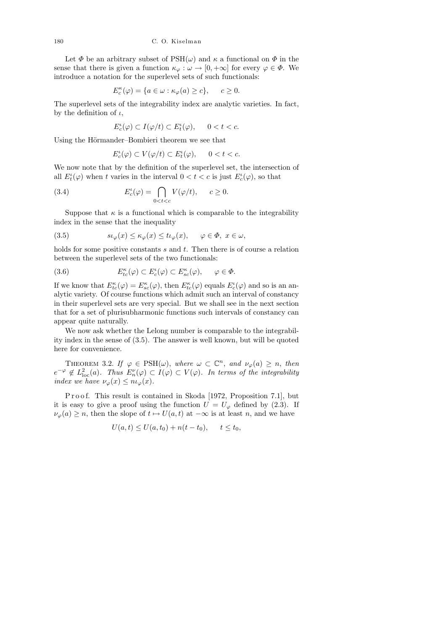Let  $\Phi$  be an arbitrary subset of  $PSH(\omega)$  and  $\kappa$  a functional on  $\Phi$  in the sense that there is given a function  $\kappa_{\varphi}: \omega \to [0, +\infty]$  for every  $\varphi \in \Phi$ . We introduce a notation for the superlevel sets of such functionals:

$$
E_c^{\kappa}(\varphi)=\{a\in\omega:\kappa_\varphi(a)\ge c\},\quad \ \ c\ge 0.
$$

The superlevel sets of the integrability index are analytic varieties. In fact, by the definition of  $\iota$ ,

$$
E_c^{\iota}(\varphi) \subset I(\varphi/t) \subset E_t^{\iota}(\varphi), \qquad 0 < t < c.
$$

Using the Hörmander–Bombieri theorem we see that

$$
E_c^{\iota}(\varphi) \subset V(\varphi/t) \subset E_t^{\iota}(\varphi), \qquad 0 < t < c.
$$

We now note that by the definition of the superlevel set, the intersection of all  $E_t^{\iota}(\varphi)$  when t varies in the interval  $0 < t < c$  is just  $E_c^{\iota}(\varphi)$ , so that

(3.4) 
$$
E_c^{\iota}(\varphi) = \bigcap_{0 < t < c} V(\varphi/t), \qquad c \ge 0.
$$

Suppose that  $\kappa$  is a functional which is comparable to the integrability index in the sense that the inequality

(3.5) 
$$
s\iota_{\varphi}(x) \leq \kappa_{\varphi}(x) \leq t\iota_{\varphi}(x), \quad \varphi \in \Phi, \ x \in \omega,
$$

holds for some positive constants  $s$  and  $t$ . Then there is of course a relation between the superlevel sets of the two functionals:

(3.6) 
$$
E_{tc}^{\kappa}(\varphi) \subset E_{c}^{\iota}(\varphi) \subset E_{sc}^{\kappa}(\varphi), \qquad \varphi \in \Phi.
$$

If we know that  $E_{tc}^{\kappa}(\varphi) = E_{sc}^{\kappa}(\varphi)$ , then  $E_{tc}^{\kappa}(\varphi)$  equals  $E_{c}^{\iota}(\varphi)$  and so is an analytic variety. Of course functions which admit such an interval of constancy in their superlevel sets are very special. But we shall see in the next section that for a set of plurisubharmonic functions such intervals of constancy can appear quite naturally.

We now ask whether the Lelong number is comparable to the integrability index in the sense of (3.5). The answer is well known, but will be quoted here for convenience.

THEOREM 3.2. If  $\varphi \in \text{PSH}(\omega)$ , where  $\omega \subset \mathbb{C}^n$ , and  $\nu_{\varphi}(a) \geq n$ , then  $e^{-\varphi} \notin L^2_{loc}(a)$ . Thus  $E_n^{\nu}(\varphi) \subset I(\varphi) \subset V(\varphi)$ . In terms of the integrability index we have  $\nu_\varphi(x) \leq n \iota_\varphi(x)$ .

P r o o f. This result is contained in Skoda [1972, Proposition 7.1], but it is easy to give a proof using the function  $U = U_{\varphi}$  defined by (2.3). If  $\nu_{\varphi}(a) \geq n$ , then the slope of  $t \mapsto U(a, t)$  at  $-\infty$  is at least n, and we have

$$
U(a,t) \le U(a,t_0) + n(t-t_0), \quad t \le t_0,
$$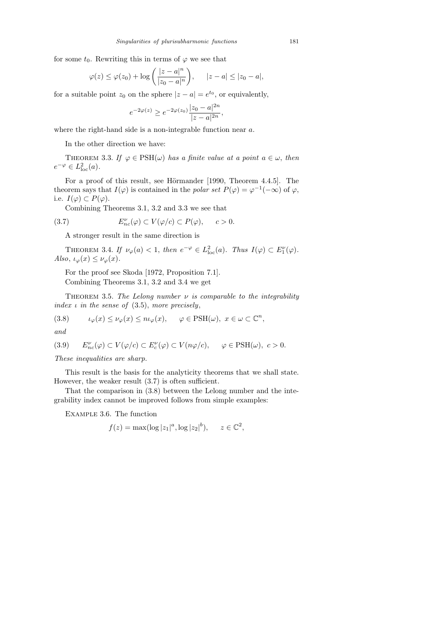for some  $t_0$ . Rewriting this in terms of  $\varphi$  we see that

$$
\varphi(z) \le \varphi(z_0) + \log\left(\frac{|z-a|^n}{|z_0-a|^n}\right), \quad |z-a| \le |z_0-a|,
$$

for a suitable point  $z_0$  on the sphere  $|z - a| = e^{t_0}$ , or equivalently,

$$
e^{-2\varphi(z)} \ge e^{-2\varphi(z_0)} \frac{|z_0 - a|^{2n}}{|z - a|^{2n}},
$$

where the right-hand side is a non-integrable function near a.

In the other direction we have:

THEOREM 3.3. If  $\varphi \in \text{PSH}(\omega)$  has a finite value at a point  $a \in \omega$ , then  $e^{-\varphi} \in L^2_{\text{loc}}(a)$ .

For a proof of this result, see Hörmander [1990, Theorem 4.4.5]. The theorem says that  $I(\varphi)$  is contained in the polar set  $P(\varphi) = \varphi^{-1}(-\infty)$  of  $\varphi$ , i.e.  $I(\varphi) \subset P(\varphi)$ .

Combining Theorems 3.1, 3.2 and 3.3 we see that

(3.7) 
$$
E_{nc}^{\nu}(\varphi) \subset V(\varphi/c) \subset P(\varphi), \quad c > 0.
$$

A stronger result in the same direction is

THEOREM 3.4. If  $\nu_{\varphi}(a) < 1$ , then  $e^{-\varphi} \in L^2_{\text{loc}}(a)$ . Thus  $I(\varphi) \subset E_1^{\nu}(\varphi)$ . Also,  $\iota_{\varphi}(x) \leq \nu_{\varphi}(x)$ .

For the proof see Skoda [1972, Proposition 7.1]. Combining Theorems 3.1, 3.2 and 3.4 we get

THEOREM 3.5. The Lelong number  $\nu$  is comparable to the integrability index  $\iota$  in the sense of (3.5), more precisely,

(3.8) 
$$
\iota_{\varphi}(x) \leq \iota_{\varphi}(x) \leq n \iota_{\varphi}(x), \quad \varphi \in \text{PSH}(\omega), \ x \in \omega \subset \mathbb{C}^n,
$$

and

(3.9) 
$$
E_{nc}^{\nu}(\varphi) \subset V(\varphi/c) \subset E_{c}^{\nu}(\varphi) \subset V(n\varphi/c), \quad \varphi \in \text{PSH}(\omega), c > 0.
$$

These inequalities are sharp.

This result is the basis for the analyticity theorems that we shall state. However, the weaker result (3.7) is often sufficient.

That the comparison in (3.8) between the Lelong number and the integrability index cannot be improved follows from simple examples:

Example 3.6. The function

$$
f(z) = \max(\log |z_1|^a, \log |z_2|^b), \quad z \in \mathbb{C}^2
$$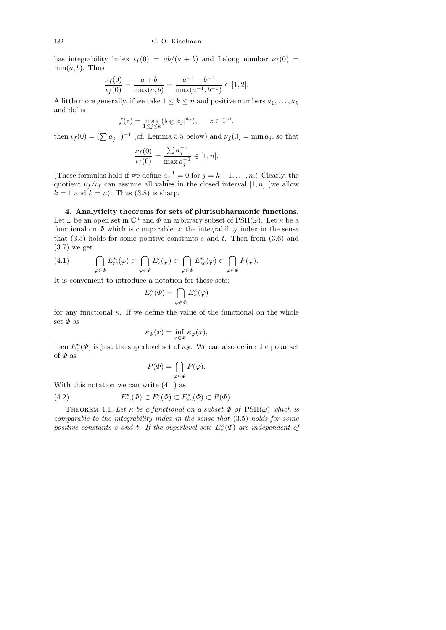has integrability index  $\iota_f(0) = ab/(a + b)$  and Lelong number  $\nu_f(0) =$  $\min(a, b)$ . Thus

$$
\frac{\nu_f(0)}{\nu_f(0)} = \frac{a+b}{\max(a,b)} = \frac{a^{-1} + b^{-1}}{\max(a^{-1}, b^{-1})} \in [1, 2].
$$

A little more generally, if we take  $1 \leq k \leq n$  and positive numbers  $a_1, \ldots, a_k$ and define

$$
f(z) = \max_{1 \le j \le k} (\log |z_j|^{a_j}), \quad z \in \mathbb{C}^n,
$$

then  $\iota_f(0) = (\sum a_j^{-1})^{-1}$  (cf. Lemma 5.5 below) and  $\nu_f(0) = \min a_j$ , so that

$$
\frac{\nu_f(0)}{\nu_f(0)} = \frac{\sum a_j^{-1}}{\max a_j^{-1}} \in [1, n].
$$

(These formulas hold if we define  $a_j^{-1} = 0$  for  $j = k + 1, \ldots, n$ .) Clearly, the quotient  $\nu_f/\nu_f$  can assume all values in the closed interval  $[1, n]$  (we allow  $k = 1$  and  $k = n$ ). Thus (3.8) is sharp.

4. Analyticity theorems for sets of plurisubharmonic functions. Let  $\omega$  be an open set in  $\mathbb{C}^n$  and  $\Phi$  an arbitrary subset of PSH( $\omega$ ). Let  $\kappa$  be a functional on  $\Phi$  which is comparable to the integrability index in the sense that  $(3.5)$  holds for some positive constants s and t. Then from  $(3.6)$  and (3.7) we get

$$
(4.1) \qquad \bigcap_{\varphi \in \Phi} E_{tc}^\kappa(\varphi) \subset \bigcap_{\varphi \in \Phi} E_c^\iota(\varphi) \subset \bigcap_{\varphi \in \Phi} E_{sc}^\kappa(\varphi) \subset \bigcap_{\varphi \in \Phi} P(\varphi).
$$

It is convenient to introduce a notation for these sets:

$$
E_c^{\kappa}(\varPhi)=\bigcap_{\varphi\in\varPhi}E_c^{\kappa}(\varphi)
$$

for any functional  $\kappa$ . If we define the value of the functional on the whole set  $\Phi$  as

$$
\kappa_{\Phi}(x) = \inf_{\varphi \in \Phi} \kappa_{\varphi}(x),
$$

then  $E_c^{\kappa}(\Phi)$  is just the superlevel set of  $\kappa_{\Phi}$ . We can also define the polar set of  $\varPhi$  as

$$
P(\varPhi) = \bigcap_{\varphi \in \varPhi} P(\varphi).
$$

With this notation we can write (4.1) as

(4.2) 
$$
E_{tc}^{\kappa}(\Phi) \subset E_{c}^{\iota}(\Phi) \subset E_{sc}^{\kappa}(\Phi) \subset P(\Phi).
$$

THEOREM 4.1. Let  $\kappa$  be a functional on a subset  $\Phi$  of  $PSH(\omega)$  which is comparable to the integrability index in the sense that (3.5) holds for some positive constants s and t. If the superlevel sets  $E_c^{\kappa}(\Phi)$  are independent of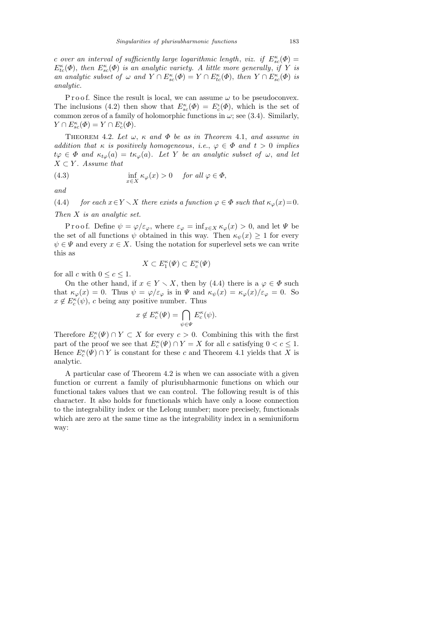c over an interval of sufficiently large logarithmic length, viz. if  $E_{sc}^{\kappa}(\Phi) =$  $E_{tc}^{\kappa}(\Phi)$ , then  $E_{sc}^{\kappa}(\Phi)$  is an analytic variety. A little more generally, if Y is an analytic subset of  $\omega$  and  $Y \cap E_{sc}^{\kappa}(\Phi) = Y \cap E_{tc}^{\kappa}(\Phi)$ , then  $Y \cap E_{sc}^{\kappa}(\Phi)$  is analytic.

P r o o f. Since the result is local, we can assume  $\omega$  to be pseudoconvex. The inclusions (4.2) then show that  $E_{sc}^{\kappa}(\Phi) = E_{c}^{\iota}(\Phi)$ , which is the set of common zeros of a family of holomorphic functions in  $\omega$ ; see (3.4). Similarly,  $Y \cap E_{sc}^{\kappa}(\Phi) = Y \cap E_{c}^{\iota}(\Phi).$ 

THEOREM 4.2. Let  $\omega$ ,  $\kappa$  and  $\Phi$  be as in Theorem 4.1, and assume in addition that  $\kappa$  is positively homogeneous, i.e.,  $\varphi \in \Phi$  and  $t > 0$  implies  $t\varphi \in \Phi$  and  $\kappa_{t\varphi}(a) = t\kappa_{\varphi}(a)$ . Let Y be an analytic subset of  $\omega$ , and let  $X \subset Y$ . Assume that

(4.3) 
$$
\inf_{x \in X} \kappa_{\varphi}(x) > 0 \quad \text{for all } \varphi \in \Phi,
$$

and

(4.4) for each  $x \in Y \setminus X$  there exists a function  $\varphi \in \Phi$  such that  $\kappa_{\varphi}(x)=0$ . Then X is an analytic set.

P r o o f. Define  $\psi = \varphi/\varepsilon_{\varphi}$ , where  $\varepsilon_{\varphi} = \inf_{x \in X} \kappa_{\varphi}(x) > 0$ , and let  $\Psi$  be the set of all functions  $\psi$  obtained in this way. Then  $\kappa_{\psi}(x) \geq 1$  for every  $\psi \in \Psi$  and every  $x \in X$ . Using the notation for superlevel sets we can write this as

$$
X \subset E_1^{\kappa}(\Psi) \subset E_c^{\kappa}(\Psi)
$$

for all c with  $0 \leq c \leq 1$ .

On the other hand, if  $x \in Y \setminus X$ , then by (4.4) there is a  $\varphi \in \Phi$  such that  $\kappa_{\varphi}(x) = 0$ . Thus  $\psi = \varphi/\varepsilon_{\varphi}$  is in  $\Psi$  and  $\kappa_{\psi}(x) = \kappa_{\varphi}(x)/\varepsilon_{\varphi} = 0$ . So  $x \notin E_c^{\kappa}(\psi)$ , c being any positive number. Thus

$$
x \notin E_c^{\kappa}(\Psi) = \bigcap_{\psi \in \Psi} E_c^{\kappa}(\psi).
$$

Therefore  $E_c^{\kappa}(\Psi) \cap Y \subset X$  for every  $c > 0$ . Combining this with the first part of the proof we see that  $E_c^{\kappa}(\Psi) \cap Y = X$  for all c satisfying  $0 < c \leq 1$ . Hence  $E_c^{\kappa}(\Psi) \cap Y$  is constant for these c and Theorem 4.1 yields that X is analytic.

A particular case of Theorem 4.2 is when we can associate with a given function or current a family of plurisubharmonic functions on which our functional takes values that we can control. The following result is of this character. It also holds for functionals which have only a loose connection to the integrability index or the Lelong number; more precisely, functionals which are zero at the same time as the integrability index in a semiuniform way: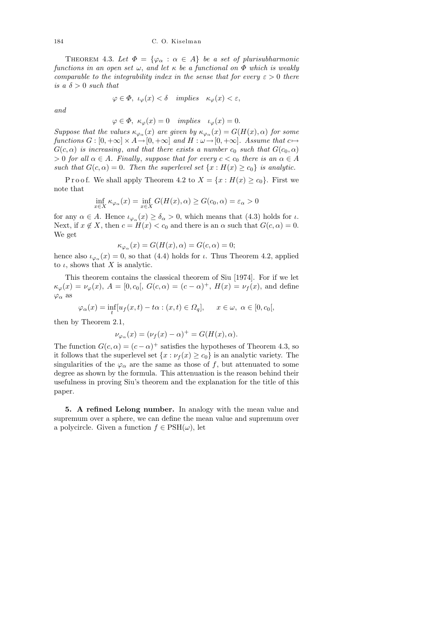THEOREM 4.3. Let  $\Phi = {\varphi_{\alpha} : \alpha \in A}$  be a set of plurisubharmonic functions in an open set  $\omega$ , and let  $\kappa$  be a functional on  $\Phi$  which is weakly comparable to the integrability index in the sense that for every  $\varepsilon > 0$  there is a  $\delta > 0$  such that

$$
\varphi \in \Phi, \ \iota_{\varphi}(x) < \delta \quad implies \quad \kappa_{\varphi}(x) < \varepsilon,
$$

and

$$
\varphi \in \Phi
$$
,  $\kappa_{\varphi}(x) = 0$  implies  $\iota_{\varphi}(x) = 0$ .

Suppose that the values  $\kappa_{\varphi_{\alpha}}(x)$  are given by  $\kappa_{\varphi_{\alpha}}(x) = G(H(x), \alpha)$  for some functions  $G : [0, +\infty] \times A \to [0, +\infty]$  and  $H : \omega \to [0, +\infty]$ . Assume that  $c \mapsto$  $G(c, \alpha)$  is increasing, and that there exists a number  $c_0$  such that  $G(c_0, \alpha)$  $> 0$  for all  $\alpha \in A$ . Finally, suppose that for every  $c < c_0$  there is an  $\alpha \in A$ such that  $G(c, \alpha) = 0$ . Then the superlevel set  $\{x : H(x) \ge c_0\}$  is analytic.

P r o o f. We shall apply Theorem 4.2 to  $X = \{x : H(x) \ge c_0\}$ . First we note that

$$
\inf_{x \in X} \kappa_{\varphi_{\alpha}}(x) = \inf_{x \in X} G(H(x), \alpha) \ge G(c_0, \alpha) = \varepsilon_{\alpha} > 0
$$

for any  $\alpha \in A$ . Hence  $\iota_{\varphi_{\alpha}}(x) \geq \delta_{\alpha} > 0$ , which means that (4.3) holds for  $\iota$ . Next, if  $x \notin X$ , then  $c = H(x) < c_0$  and there is an  $\alpha$  such that  $G(c, \alpha) = 0$ . We get

$$
\kappa_{\varphi_{\alpha}}(x) = G(H(x), \alpha) = G(c, \alpha) = 0;
$$

hence also  $\iota_{\varphi_{\alpha}}(x) = 0$ , so that (4.4) holds for  $\iota$ . Thus Theorem 4.2, applied to  $\iota$ , shows that X is analytic.

This theorem contains the classical theorem of Siu [1974]. For if we let  $\kappa_{\varphi}(x) = \nu_{\varphi}(x), A = [0, c_0], G(c, \alpha) = (c - \alpha)^+, H(x) = \nu_f(x),$  and define  $\varphi_{\alpha}$  as

$$
\varphi_{\alpha}(x) = \inf_{t} [u_f(x, t) - t\alpha : (x, t) \in \Omega_q], \quad x \in \omega, \ \alpha \in [0, c_0],
$$

then by Theorem 2.1,

$$
\nu_{\varphi_{\alpha}}(x) = (\nu_f(x) - \alpha)^+ = G(H(x), \alpha).
$$

The function  $G(c, \alpha) = (c - \alpha)^+$  satisfies the hypotheses of Theorem 4.3, so it follows that the superlevel set  $\{x : \nu_f(x) \ge c_0\}$  is an analytic variety. The singularities of the  $\varphi_{\alpha}$  are the same as those of f, but attenuated to some degree as shown by the formula. This attenuation is the reason behind their usefulness in proving Siu's theorem and the explanation for the title of this paper.

5. A refined Lelong number. In analogy with the mean value and supremum over a sphere, we can define the mean value and supremum over a polycircle. Given a function  $f \in \text{PSH}(\omega)$ , let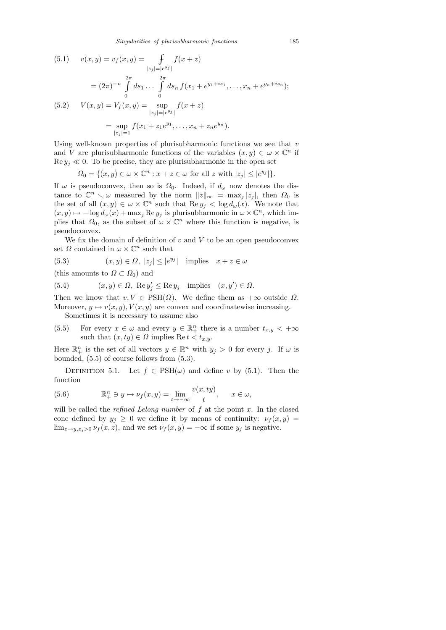(5.1) 
$$
v(x,y) = v_f(x,y) = \int_{|z_j| = |e^{y_j}|} f(x+z)
$$

$$
= (2\pi)^{-n} \int_{0}^{2\pi} ds_1 \dots \int_{0}^{2\pi} ds_n f(x_1 + e^{y_1 + is_1}, \dots, x_n + e^{y_n + is_n});
$$
  
(5.2) 
$$
V(x,y) = V_f(x,y) = \sup_{|z_j| = |e^{y_j}|} f(x+z)
$$

$$
= \sup_{|z_j| = 1} f(x_1 + z_1 e^{y_1}, \dots, x_n + z_n e^{y_n}).
$$

Using well-known properties of plurisubharmonic functions we see that  $v$ and V are plurisubharmonic functions of the variables  $(x, y) \in \omega \times \mathbb{C}^n$  if  $\text{Re } y_i \ll 0$ . To be precise, they are plurisubharmonic in the open set

$$
\Omega_0 = \{ (x, y) \in \omega \times \mathbb{C}^n : x + z \in \omega \text{ for all } z \text{ with } |z_j| \le |e^{y_j}| \}.
$$

If  $\omega$  is pseudoconvex, then so is  $\Omega_0$ . Indeed, if  $d_{\omega}$  now denotes the distance to  $\mathbb{C}^n \setminus \omega$  measured by the norm  $||z||_{\infty} = \max_j |z_j|$ , then  $\Omega_0$  is the set of all  $(x, y) \in \omega \times \mathbb{C}^n$  such that  $\text{Re } y_j < \log d_{\omega}(x)$ . We note that  $(x, y) \mapsto -\log d_{\omega}(x) + \max_j \text{Re } y_j$  is plurisubharmonic in  $\omega \times \mathbb{C}^n$ , which implies that  $\Omega_0$ , as the subset of  $\omega \times \mathbb{C}^n$  where this function is negative, is pseudoconvex.

We fix the domain of definition of  $v$  and  $V$  to be an open pseudoconvex set  $\Omega$  contained in  $\omega \times \mathbb{C}^n$  such that

(5.3)  $(x, y) \in \Omega, |z_j| \le |e^{y_j}|$  implies  $x + z \in \omega$ 

(this amounts to  $\Omega \subset \Omega_0$ ) and

(5.4) 
$$
(x, y) \in \Omega
$$
, Re  $y'_j \leq$  Re  $y_j$  implies  $(x, y') \in \Omega$ .

Then we know that  $v, V \in \text{PSH}(\Omega)$ . We define them as  $+\infty$  outside  $\Omega$ . Moreover,  $y \mapsto v(x, y), V(x, y)$  are convex and coordinatewise increasing.

Sometimes it is necessary to assume also

(5.5) For every  $x \in \omega$  and every  $y \in \mathbb{R}^n_+$  there is a number  $t_{x,y} < +\infty$ such that  $(x, ty) \in \Omega$  implies Re  $t < t_{x,y}$ .

Here  $\mathbb{R}^n_+$  is the set of all vectors  $y \in \mathbb{R}^n$  with  $y_j > 0$  for every j. If  $\omega$  is bounded, (5.5) of course follows from (5.3).

DEFINITION 5.1. Let  $f \in \text{PSH}(\omega)$  and define v by (5.1). Then the function

(5.6) 
$$
\mathbb{R}^n_+ \ni y \mapsto \nu_f(x, y) = \lim_{t \to -\infty} \frac{v(x, ty)}{t}, \quad x \in \omega,
$$

will be called the *refined Lelong number* of  $f$  at the point  $x$ . In the closed cone defined by  $y_j \geq 0$  we define it by means of continuity:  $\nu_f(x, y) =$  $\lim_{z\to y,z_j>0} \nu_f(x,z)$ , and we set  $\nu_f(x,y) = -\infty$  if some  $y_j$  is negative.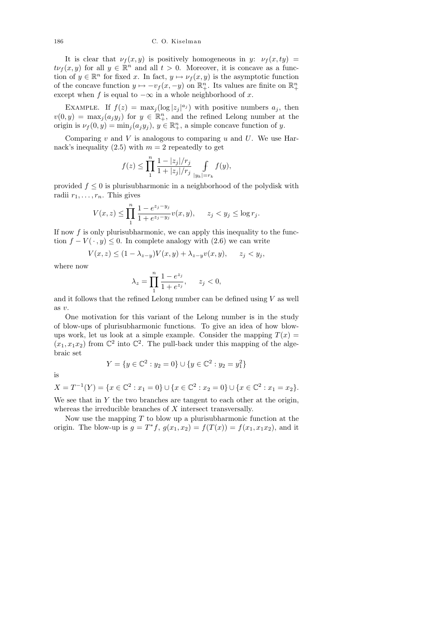It is clear that  $\nu_f(x, y)$  is positively homogeneous in y:  $\nu_f(x, ty)$  =  $t\nu_f(x, y)$  for all  $y \in \mathbb{R}^n$  and all  $t > 0$ . Moreover, it is concave as a function of  $y \in \mathbb{R}^n$  for fixed x. In fact,  $y \mapsto \nu_f(x, y)$  is the asymptotic function of the concave function  $y \mapsto -v_f (x, -y)$  on  $\mathbb{R}^n_+$ . Its values are finite on  $\mathbb{R}^n_+$ except when f is equal to  $-\infty$  in a whole neighborhood of x.

EXAMPLE. If  $f(z) = \max_j (\log |z_j|^{a_j})$  with positive numbers  $a_j$ , then  $v(0, y) = \max_j (a_j y_j)$  for  $y \in \mathbb{R}^n_+$ , and the refined Lelong number at the origin is  $\nu_f(0, y) = \min_j(a_j y_j), y \in \mathbb{R}^n_+$ , a simple concave function of y.

Comparing  $v$  and  $V$  is analogous to comparing  $u$  and  $U$ . We use Harnack's inequality (2.5) with  $m = 2$  repeatedly to get

$$
f(z) \leq \prod_{1}^{n} \frac{1 - |z_j|/r_j}{1 + |z_j|/r_j} \int\limits_{|y_k|=r_k} f(y),
$$

provided  $f \leq 0$  is plurisubharmonic in a neighborhood of the polydisk with radii  $r_1, \ldots, r_n$ . This gives

$$
V(x, z) \le \prod_{1}^{n} \frac{1 - e^{z_j - y_j}}{1 + e^{z_j - y_j}} v(x, y), \quad z_j < y_j \le \log r_j.
$$

If now  $f$  is only plurisubharmonic, we can apply this inequality to the function  $f - V(\cdot, y) \leq 0$ . In complete analogy with (2.6) we can write

$$
V(x,z) \le (1 - \lambda_{z-y})V(x,y) + \lambda_{z-y}v(x,y), \qquad z_j < y_j,
$$

where now

$$
\lambda_z = \prod_{1}^{n} \frac{1 - e^{z_j}}{1 + e^{z_j}}, \qquad z_j < 0,
$$

and it follows that the refined Lelong number can be defined using  $V$  as well as v.

One motivation for this variant of the Lelong number is in the study of blow-ups of plurisubharmonic functions. To give an idea of how blowups work, let us look at a simple example. Consider the mapping  $T(x) =$  $(x_1, x_1x_2)$  from  $\mathbb{C}^2$  into  $\mathbb{C}^2$ . The pull-back under this mapping of the algebraic set

$$
Y = \{ y \in \mathbb{C}^2 : y_2 = 0 \} \cup \{ y \in \mathbb{C}^2 : y_2 = y_1^2 \}
$$

is

 $X = T^{-1}(Y) = \{x \in \mathbb{C}^2 : x_1 = 0\} \cup \{x \in \mathbb{C}^2 : x_2 = 0\} \cup \{x \in \mathbb{C}^2 : x_1 = x_2\}.$ 

We see that in  $Y$  the two branches are tangent to each other at the origin, whereas the irreducible branches of X intersect transversally.

Now use the mapping  $T$  to blow up a plurisubharmonic function at the origin. The blow-up is  $g = T^* f$ ,  $g(x_1, x_2) = f(T(x)) = f(x_1, x_1 x_2)$ , and it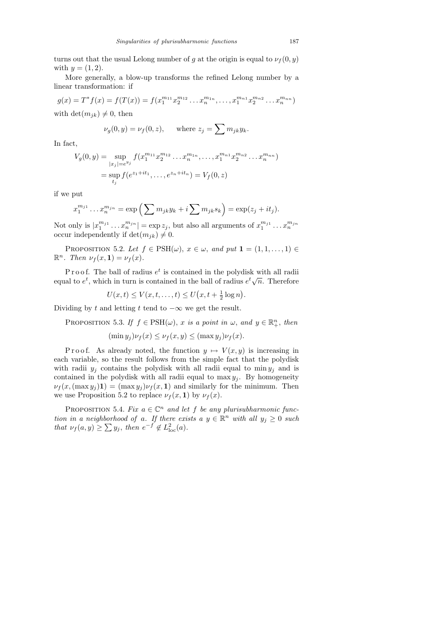turns out that the usual Lelong number of g at the origin is equal to  $\nu_f(0, y)$ with  $y = (1, 2)$ .

More generally, a blow-up transforms the refined Lelong number by a linear transformation: if

$$
g(x) = T^* f(x) = f(T(x)) = f(x_1^{m_{11}} x_2^{m_{12}} \dots x_n^{m_{1n}}, \dots, x_1^{m_{n1}} x_2^{m_{n2}} \dots x_n^{m_{nn}})
$$

with  $\det(m_{jk}) \neq 0$ , then

$$
\nu_g(0, y) = \nu_f(0, z), \quad \text{where } z_j = \sum m_{jk} y_k.
$$

In fact,

$$
V_g(0, y) = \sup_{|x_j| = e^{y_j}} f(x_1^{m_{11}} x_2^{m_{12}} \dots x_n^{m_{1n}}, \dots, x_1^{m_{n1}} x_2^{m_{n2}} \dots x_n^{m_{nn}})
$$
  
= 
$$
\sup_{t_j} f(e^{z_1 + it_1}, \dots, e^{z_n + it_n}) = V_f(0, z)
$$

if we put

$$
x_1^{m_{j1}}\dots x_n^{m_{jn}} = \exp\left(\sum m_{jk}y_k + i\sum m_{jk}s_k\right) = \exp(z_j + it_j).
$$

Not only is  $|x_1^{m_{j1}}$  $\lfloor \binom{m_{j1}}{1} \ldots \binom{m_{jn}}{n} \rfloor = \exp z_j$ , but also all arguments of  $x_1^{m_{j1}}$  $\frac{m_{j1}}{1} \ldots x_n^{m_{jn}}$ occur independently if  $\det(m_{jk}) \neq 0$ .

PROPOSITION 5.2. Let  $f \in \text{PSH}(\omega)$ ,  $x \in \omega$ , and put  $\mathbf{1} = (1, 1, \ldots, 1) \in$  $\mathbb{R}^n$ . Then  $\nu_f(x,1) = \nu_f(x)$ .

P r o o f. The ball of radius  $e^t$  is contained in the polydisk with all radii F FOOT. The ball of radius e is contained in the polydisk with an radii<br>equal to  $e^t$ , which in turn is contained in the ball of radius  $e^t\sqrt{n}$ . Therefore

$$
U(x,t) \le V(x,t,\ldots,t) \le U(x,t+\tfrac{1}{2}\log n).
$$

Dividing by t and letting t tend to  $-\infty$  we get the result.

PROPOSITION 5.3. If  $f \in \text{PSH}(\omega)$ , x is a point in  $\omega$ , and  $y \in \mathbb{R}^n_+$ , then

$$
(\min y_j)\nu_f(x) \le \nu_f(x,y) \le (\max y_j)\nu_f(x).
$$

P r o o f. As already noted, the function  $y \mapsto V(x, y)$  is increasing in each variable, so the result follows from the simple fact that the polydisk with radii  $y_j$  contains the polydisk with all radii equal to min  $y_j$  and is contained in the polydisk with all radii equal to  $\max y_i$ . By homogeneity  $\nu_f(x,(\max y_i)1) = (\max y_i)\nu_f(x,1)$  and similarly for the minimum. Then we use Proposition 5.2 to replace  $\nu_f(x, 1)$  by  $\nu_f(x)$ .

PROPOSITION 5.4. Fix  $a \in \mathbb{C}^n$  and let f be any plurisubharmonic function in a neighborhood of a. If there exists a  $y \in \mathbb{R}^n$  with all  $y_j \geq 0$  such that  $\nu_f(a, y) \ge \sum y_j$ , then  $e^{-f} \notin L^2_{loc}(a)$ .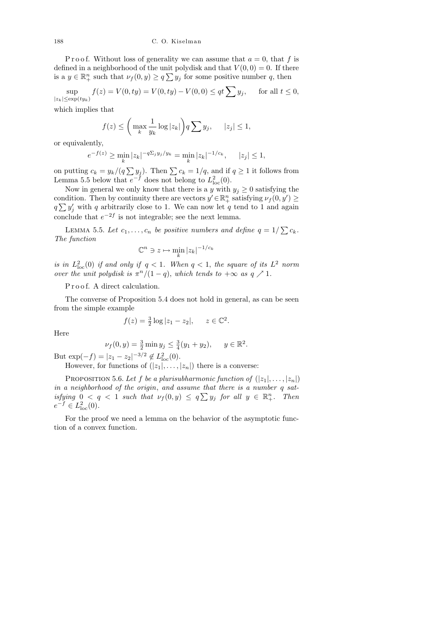P r o o f. Without loss of generality we can assume that  $a = 0$ , that f is defined in a neighborhood of the unit polydisk and that  $V(0,0) = 0$ . If there is a  $y \in \mathbb{R}^n_+$  such that  $\nu_f(0, y) \ge q \sum y_j$  for some positive number q, then

$$
\sup_{|z_k| \le \exp(t y_k)} f(z) = V(0, ty) = V(0, ty) - V(0, 0) \le qt \sum y_j, \quad \text{ for all } t \le 0,
$$

which implies that

$$
f(z) \leq \left(\max_{k} \frac{1}{y_k} \log |z_k|\right) q \sum y_j, \quad |z_j| \leq 1,
$$

or equivalently,

$$
e^{-f(z)} \ge \min_k |z_k|^{-q\sum_j y_j/y_k} = \min_k |z_k|^{-1/c_k}, \quad |z_j| \le 1,
$$

on putting  $c_k = y_k/(q\sum y_j)$ . Then  $\sum c_k = 1/q$ , and if  $q \ge 1$  it follows from Lemma 5.5 below that  $e^{-f}$  does not belong to  $L^2_{\text{loc}}(0)$ .

Now in general we only know that there is a y with  $y_j \geq 0$  satisfying the condition. Then by continuity there are vectors  $y' \in \mathbb{R}^n_+$  satisfying  $\nu_f(0, y') \geq$  $q \sum y'_j$  with q arbitrarily close to 1. We can now let q tend to 1 and again conclude that  $e^{-2f}$  is not integrable; see the next lemma.

LEMMA 5.5. Let  $c_1, \ldots, c_n$  be positive numbers and define  $q = 1/\sum c_k$ . The function

$$
\mathbb{C}^n \ni z \mapsto \min_k |z_k|^{-1/c_k}
$$

is in  $L_{\text{loc}}^2(0)$  if and only if  $q < 1$ . When  $q < 1$ , the square of its  $L^2$  norm over the unit polydisk is  $\pi^n/(1-q)$ , which tends to  $+\infty$  as  $q \nearrow 1$ .

Proof. A direct calculation.

The converse of Proposition 5.4 does not hold in general, as can be seen from the simple example

$$
f(z) = \frac{3}{2} \log |z_1 - z_2|, \quad z \in \mathbb{C}^2.
$$

Here

$$
\nu_f(0, y) = \frac{3}{2} \min y_j \le \frac{3}{4}(y_1 + y_2), \quad y \in \mathbb{R}^2.
$$

But  $\exp(-f) = |z_1 - z_2|^{-3/2} \notin L^2_{\text{loc}}(0)$ .

However, for functions of  $(|z_1|, \ldots, |z_n|)$  there is a converse:

PROPOSITION 5.6. Let f be a plurisubharmonic function of  $(|z_1|, \ldots, |z_n|)$ in a neighborhood of the origin, and assume that there is a number q satisfying  $0 < q < 1$  such that  $\nu_f(0, y) \le q \sum y_j$  for all  $y \in \mathbb{R}^n_+$ . Then  $e^{-f} \in L^2_{\text{loc}}(0)$ .

For the proof we need a lemma on the behavior of the asymptotic function of a convex function.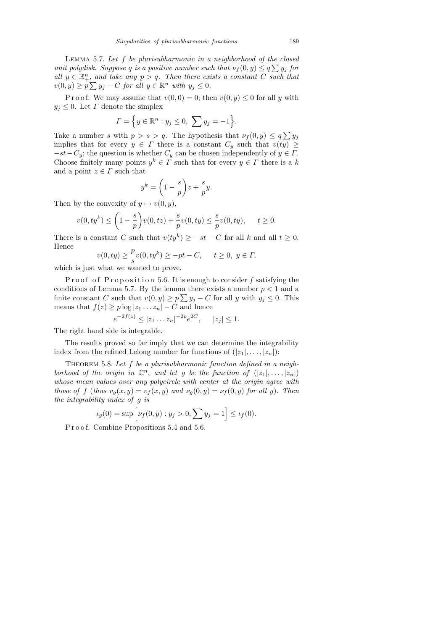LEMMA 5.7. Let  $f$  be plurisubharmonic in a neighborhood of the closed unit polydisk. Suppose q is a positive number such that  $\nu_f(0, y) \le q \sum y_j$  for all  $y \in \mathbb{R}^n_+$ , and take any  $p > q$ . Then there exists a constant C such that  $v(0, y) \ge p \sum y_j - C$  for all  $y \in \mathbb{R}^n$  with  $y_j \le 0$ .

P r o o f. We may assume that  $v(0, 0) = 0$ ; then  $v(0, y) \leq 0$  for all y with  $y_j \leq 0$ . Let  $\Gamma$  denote the simplex

$$
\Gamma = \Big\{ y \in \mathbb{R}^n : y_j \leq 0, \sum y_j = -1 \Big\}.
$$

Take a number s with  $p > s > q$ . The hypothesis that  $\nu_f(0, y) \le q \sum y_j$ implies that for every  $y \in \Gamma$  there is a constant  $C_y$  such that  $v(ty) \geq$  $-st-C_y$ ; the question is whether  $C_y$  can be chosen independently of  $y \in \Gamma$ . Choose finitely many points  $y^k \in \Gamma$  such that for every  $y \in \Gamma$  there is a k and a point  $z \in \Gamma$  such that

$$
y^k = \left(1 - \frac{s}{p}\right)z + \frac{s}{p}y.
$$

Then by the convexity of  $y \mapsto v(0, y)$ ,

$$
v(0, ty^k) \le \left(1 - \frac{s}{p}\right) v(0, tz) + \frac{s}{p} v(0, ty) \le \frac{s}{p} v(0, ty), \quad t \ge 0.
$$

There is a constant C such that  $v(ty^k) \ge -st - C$  for all k and all  $t \ge 0$ . Hence

$$
v(0, ty) \ge \frac{p}{s}v(0, ty^k) \ge -pt - C, \quad t \ge 0, y \in \Gamma,
$$

which is just what we wanted to prove.

Proof of Proposition 5.6. It is enough to consider  $f$  satisfying the conditions of Lemma 5.7. By the lemma there exists a number  $p < 1$  and a finite constant C such that  $v(0, y) \ge p \sum y_j - C$  for all y with  $y_j \le 0$ . This means that  $f(z) \geq p \log |z_1 \dots z_n| - C$  and hence

$$
e^{-2f(z)} \le |z_1 \dots z_n|^{-2p} e^{2C}, \quad |z_j| \le 1.
$$

The right hand side is integrable.

The results proved so far imply that we can determine the integrability index from the refined Lelong number for functions of  $(|z_1|, \ldots, |z_n|)$ :

THEOREM 5.8. Let  $f$  be a plurisubharmonic function defined in a neighborhood of the origin in  $\mathbb{C}^n$ , and let g be the function of  $(|z_1|,\ldots,|z_n|)$ whose mean values over any polycircle with center at the origin agree with those of f (thus  $v_q(x, y) = v_f(x, y)$  and  $v_q(0, y) = v_f(0, y)$  for all y). Then the integrability index of g is

$$
\iota_g(0) = \sup \Big[ \nu_f(0, y) : y_j > 0, \sum y_j = 1 \Big] \le \iota_f(0).
$$

P r o o f. Combine Propositions 5.4 and 5.6.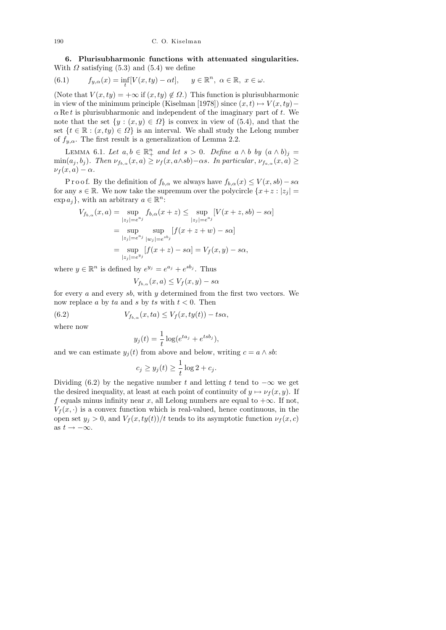6. Plurisubharmonic functions with attenuated singularities. With  $\Omega$  satisfying (5.3) and (5.4) we define

(6.1) 
$$
f_{y,\alpha}(x) = \inf_{t} [V(x, ty) - \alpha t], \quad y \in \mathbb{R}^n, \ \alpha \in \mathbb{R}, \ x \in \omega.
$$

(Note that  $V(x, ty) = +\infty$  if  $(x, ty) \notin \Omega$ .) This function is plurisubharmonic in view of the minimum principle (Kiselman [1978]) since  $(x, t) \mapsto V(x, ty)$ −  $\alpha$  Re t is plurisubharmonic and independent of the imaginary part of t. We note that the set  $\{y : (x, y) \in \Omega\}$  is convex in view of (5.4), and that the set  $\{t \in \mathbb{R} : (x, ty) \in \Omega\}$  is an interval. We shall study the Lelong number of  $f_{y,\alpha}$ . The first result is a generalization of Lemma 2.2.

LEMMA 6.1. Let  $a, b \in \mathbb{R}^n_+$  and let  $s > 0$ . Define  $a \wedge b$  by  $(a \wedge b)_j =$  $\min(a_j, b_j)$ . Then  $\nu_{f_{b,\alpha}}(x, a) \ge \nu_f(x, a \wedge sb) - \alpha s$ . In particular,  $\nu_{f_{a,\alpha}}(x, a) \ge$  $\nu_f(x,a) - \alpha$ .

P r o o f. By the definition of  $f_{b,\alpha}$  we always have  $f_{b,\alpha}(x) \leq V(x, sb) - s\alpha$ for any  $s \in \mathbb{R}$ . We now take the supremum over the polycircle  $\{x+z : |z_i| =$  $\exp a_j$ , with an arbitrary  $a \in \mathbb{R}^n$ :

$$
V_{f_{b,\alpha}}(x, a) = \sup_{|z_j| = e^{a_j}} f_{b,\alpha}(x + z) \le \sup_{|z_j| = e^{a_j}} [V(x + z, sb) - s\alpha]
$$
  
= 
$$
\sup_{|z_j| = e^{a_j}} \sup_{|w_j| = e^{sb_j}} [f(x + z + w) - s\alpha]
$$
  
= 
$$
\sup_{|z_j| = e^{y_j}} [f(x + z) - s\alpha] = V_f(x, y) - s\alpha,
$$

where  $y \in \mathbb{R}^n$  is defined by  $e^{y_j} = e^{a_j} + e^{sb_j}$ . Thus

$$
V_{f_{b,\alpha}}(x,a) \le V_f(x,y) - s\alpha
$$

for every  $a$  and every  $sb$ , with  $y$  determined from the first two vectors. We now replace a by ta and s by ts with  $t < 0$ . Then

(6.2) 
$$
V_{f_{b,\alpha}}(x, ta) \leq V_f(x, ty(t)) - ts\alpha,
$$

where now

$$
y_j(t) = \frac{1}{t} \log(e^{ta_j} + e^{tsb_j}),
$$

and we can estimate  $y_i(t)$  from above and below, writing  $c = a \wedge sb$ :

$$
c_j \ge y_j(t) \ge \frac{1}{t} \log 2 + c_j.
$$

Dividing (6.2) by the negative number t and letting t tend to  $-\infty$  we get the desired inequality, at least at each point of continuity of  $y \mapsto \nu_f(x, y)$ . If f equals minus infinity near x, all Lelong numbers are equal to  $+\infty$ . If not,  $V_f(x, \cdot)$  is a convex function which is real-valued, hence continuous, in the open set  $y_j > 0$ , and  $V_f(x, ty(t))/t$  tends to its asymptotic function  $\nu_f(x, c)$ as  $t \to -\infty$ .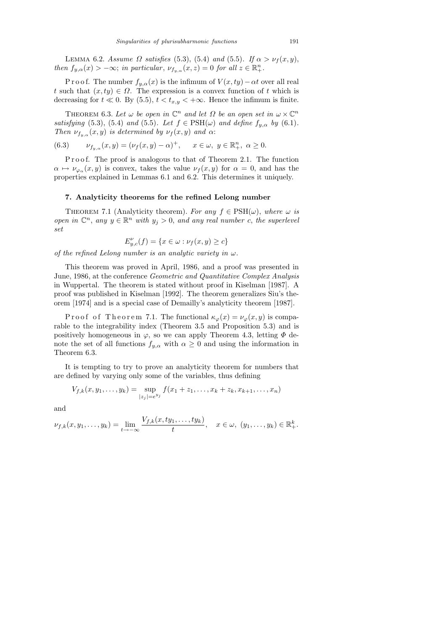LEMMA 6.2. Assume  $\Omega$  satisfies (5.3), (5.4) and (5.5). If  $\alpha > \nu_f(x, y)$ , then  $f_{y,\alpha}(x) > -\infty$ ; in particular,  $\nu_{f_{y,\alpha}}(x,z) = 0$  for all  $z \in \mathbb{R}^n_+$ .

P r o o f. The number  $f_{y,\alpha}(x)$  is the infimum of  $V(x, ty) - \alpha t$  over all real t such that  $(x, ty) \in \Omega$ . The expression is a convex function of t which is decreasing for  $t \ll 0$ . By (5.5),  $t < t_{x,y} < +\infty$ . Hence the infimum is finite.

THEOREM 6.3. Let  $\omega$  be open in  $\mathbb{C}^n$  and let  $\Omega$  be an open set in  $\omega \times \mathbb{C}^n$ satisfying (5.3), (5.4) and (5.5). Let  $f \in \text{PSH}(\omega)$  and define  $f_{y,\alpha}$  by (6.1). Then  $\nu_{f_{y,\alpha}}(x,y)$  is determined by  $\nu_f(x,y)$  and  $\alpha$ :

(6.3) 
$$
\nu_{f_y,\alpha}(x,y) = (\nu_f(x,y) - \alpha)^+, \quad x \in \omega, y \in \mathbb{R}^n_+, \alpha \ge 0.
$$

P r o o f. The proof is analogous to that of Theorem 2.1. The function  $\alpha \mapsto \nu_{\varphi_{\alpha}}(x, y)$  is convex, takes the value  $\nu_f(x, y)$  for  $\alpha = 0$ , and has the properties explained in Lemmas 6.1 and 6.2. This determines it uniquely.

## 7. Analyticity theorems for the refined Lelong number

THEOREM 7.1 (Analyticity theorem). For any  $f \in \text{PSH}(\omega)$ , where  $\omega$  is open in  $\mathbb{C}^n$ , any  $y \in \mathbb{R}^n$  with  $y_j > 0$ , and any real number c, the superlevel set

$$
E_{y,c}^{\nu}(f) = \{x \in \omega : \nu_f(x,y) \ge c\}
$$

of the refined Lelong number is an analytic variety in  $\omega$ .

This theorem was proved in April, 1986, and a proof was presented in June, 1986, at the conference Geometric and Quantitative Complex Analysis in Wuppertal. The theorem is stated without proof in Kiselman [1987]. A proof was published in Kiselman [1992]. The theorem generalizes Siu's theorem [1974] and is a special case of Demailly's analyticity theorem [1987].

Proof of Theorem 7.1. The functional  $\kappa_{\varphi}(x) = \nu_{\varphi}(x, y)$  is comparable to the integrability index (Theorem 3.5 and Proposition 5.3) and is positively homogeneous in  $\varphi$ , so we can apply Theorem 4.3, letting  $\Phi$  denote the set of all functions  $f_{y,\alpha}$  with  $\alpha \geq 0$  and using the information in Theorem 6.3.

It is tempting to try to prove an analyticity theorem for numbers that are defined by varying only some of the variables, thus defining

$$
V_{f,k}(x,y_1,\ldots,y_k) = \sup_{|z_j|=e^{y_j}} f(x_1+z_1,\ldots,x_k+z_k,x_{k+1},\ldots,x_n)
$$

and

$$
\nu_{f,k}(x,y_1,\ldots,y_k)=\lim_{t\to-\infty}\frac{V_{f,k}(x,ty_1,\ldots,ty_k)}{t},\quad x\in\omega,\ (y_1,\ldots,y_k)\in\mathbb{R}^k_+.
$$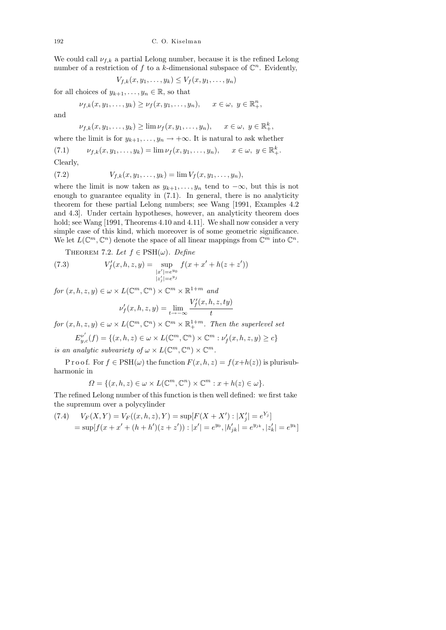We could call  $\nu_{f,k}$  a partial Lelong number, because it is the refined Lelong number of a restriction of f to a k-dimensional subspace of  $\mathbb{C}^n$ . Evidently,

$$
V_{f,k}(x,y_1,\ldots,y_k)\leq V_f(x,y_1,\ldots,y_n)
$$

for all choices of  $y_{k+1}, \ldots, y_n \in \mathbb{R}$ , so that

 $\nu_{f,k}(x, y_1, \ldots, y_k) \ge \nu_f(x, y_1, \ldots, y_n), \quad x \in \omega, y \in \mathbb{R}^n_+,$ 

and

$$
\nu_{f,k}(x,y_1,\ldots,y_k)\geq \lim \nu_f(x,y_1,\ldots,y_n), \quad x\in\omega, y\in\mathbb{R}^k_+,
$$

where the limit is for  $y_{k+1}, \ldots, y_n \to +\infty$ . It is natural to ask whether

(7.1) 
$$
\nu_{f,k}(x, y_1, \dots, y_k) = \lim \nu_f(x, y_1, \dots, y_n), \quad x \in \omega, y \in \mathbb{R}^k_+.
$$

Clearly,

(7.2) 
$$
V_{f,k}(x,y_1,\ldots,y_k) = \lim V_f(x,y_1,\ldots,y_n),
$$

where the limit is now taken as  $y_{k+1}, \ldots, y_n$  tend to  $-\infty$ , but this is not enough to guarantee equality in (7.1). In general, there is no analyticity theorem for these partial Lelong numbers; see Wang [1991, Examples 4.2 and 4.3]. Under certain hypotheses, however, an analyticity theorem does hold; see Wang [1991, Theorems 4.10 and 4.11]. We shall now consider a very simple case of this kind, which moreover is of some geometric significance. We let  $L(\mathbb{C}^m,\mathbb{C}^n)$  denote the space of all linear mappings from  $\mathbb{C}^m$  into  $\mathbb{C}^n$ .

THEOREM 7.2. Let  $f \in \text{PSH}(\omega)$ . Define

(7.3) 
$$
V'_{f}(x, h, z, y) = \sup_{\substack{|x'| = e^{y_0} \\ |z'_j| = e^{y_j}}} f(x + x' + h(z + z'))
$$

for  $(x, h, z, y) \in \omega \times L(\mathbb{C}^m, \mathbb{C}^n) \times \mathbb{C}^m \times \mathbb{R}^{1+m}$  and

$$
\nu'_f(x,h,z,y)=\lim_{t\to-\infty}\frac{V'_f(x,h,z,ty)}{t}
$$

for  $(x, h, z, y) \in \omega \times L(\mathbb{C}^m, \mathbb{C}^n) \times \mathbb{C}^m \times \mathbb{R}^{1+m}_+$ . Then the superlevel set

$$
E_{y,c}^{\nu'}(f) = \{(x, h, z) \in \omega \times L(\mathbb{C}^m, \mathbb{C}^n) \times \mathbb{C}^m : \nu'_f(x, h, z, y) \ge c\}
$$
  
is an analytic subvariety of  $\omega \times L(\mathbb{C}^m, \mathbb{C}^n) \times \mathbb{C}^m$ .

P r o o f. For  $f \in \text{PSH}(\omega)$  the function  $F(x, h, z) = f(x+h(z))$  is plurisubharmonic in

$$
\Omega = \{ (x, h, z) \in \omega \times L(\mathbb{C}^m, \mathbb{C}^n) \times \mathbb{C}^m : x + h(z) \in \omega \}.
$$

The refined Lelong number of this function is then well defined: we first take the supremum over a polycylinder

(7.4) 
$$
V_F(X,Y) = V_F((x,h,z),Y) = \sup[F(X+X'): |X'_j| = e^{Y_j}]
$$

$$
= \sup[f(x+x'+(h+h')(z+z')) : |x'| = e^{y_0}, |h'_{jk}| = e^{y_{jk}}, |z'_k| = e^{y_k}]
$$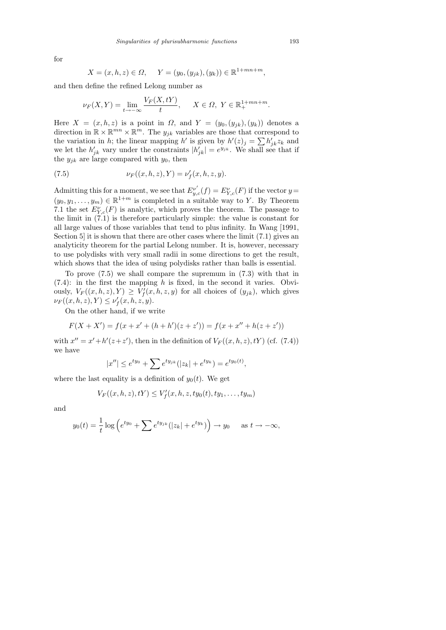for

$$
X = (x, h, z) \in \Omega
$$
,  $Y = (y_0, (y_{jk}), (y_k)) \in \mathbb{R}^{1 + mn + m}$ ,

and then define the refined Lelong number as

$$
\nu_F(X,Y) = \lim_{t \to -\infty} \frac{V_F(X,tY)}{t}, \quad X \in \Omega, \ Y \in \mathbb{R}_+^{1+mn+m}.
$$

Here  $X = (x, h, z)$  is a point in  $\Omega$ , and  $Y = (y_0, (y_{jk}), (y_k))$  denotes a direction in  $\mathbb{R} \times \mathbb{R}^{mn} \times \mathbb{R}^m$ . The  $y_{jk}$  variables are those that correspond to the variation in h; the linear mapping h' is given by  $h'(z)_j = \sum h'_{jk} z_k$  and we let the  $h'_{jk}$  vary under the constraints  $|h'_{jk}| = e^{y_{jk}}$ . We shall see that if the  $y_{jk}$  are large compared with  $y_0$ , then

(7.5) 
$$
\nu_F((x, h, z), Y) = \nu'_f(x, h, z, y).
$$

Admitting this for a moment, we see that  $E_{y,c}^{\nu'}(f) = E_{Y,c}^{\nu}(F)$  if the vector  $y =$  $(y_0, y_1, \ldots, y_m) \in \mathbb{R}^{1+m}$  is completed in a suitable way to Y. By Theorem 7.1 the set  $E_{Y,c}^{\nu}(F)$  is analytic, which proves the theorem. The passage to the limit in (7.1) is therefore particularly simple: the value is constant for all large values of those variables that tend to plus infinity. In Wang [1991, Section 5 it is shown that there are other cases where the limit  $(7.1)$  gives an analyticity theorem for the partial Lelong number. It is, however, necessary to use polydisks with very small radii in some directions to get the result, which shows that the idea of using polydisks rather than balls is essential.

To prove (7.5) we shall compare the supremum in (7.3) with that in  $(7.4)$ : in the first the mapping h is fixed, in the second it varies. Obviously,  $V_F((x, h, z), Y) \geq V'_f(x, h, z, y)$  for all choices of  $(y_{jk})$ , which gives  $\nu_F((x, h, z), Y) \le \nu'_f(x, h, z, y).$ 

On the other hand, if we write

$$
F(X + X') = f(x + x' + (h + h')(z + z')) = f(x + x'' + h(z + z'))
$$

with  $x'' = x' + h'(z + z')$ , then in the definition of  $V_F((x, h, z), tY)$  (cf. (7.4)) we have

$$
|x''| \le e^{ty_0} + \sum e^{ty_{jk}}(|z_k| + e^{ty_k}) = e^{ty_0(t)},
$$

where the last equality is a definition of  $y_0(t)$ . We get

$$
V_F((x, h, z), tY) \leq V'_f(x, h, z, ty_0(t), ty_1, \dots, ty_m)
$$

and

$$
y_0(t) = \frac{1}{t} \log \left( e^{ty_0} + \sum e^{ty_{jk}} (|z_k| + e^{ty_k}) \right) \to y_0 \quad \text{as } t \to -\infty,
$$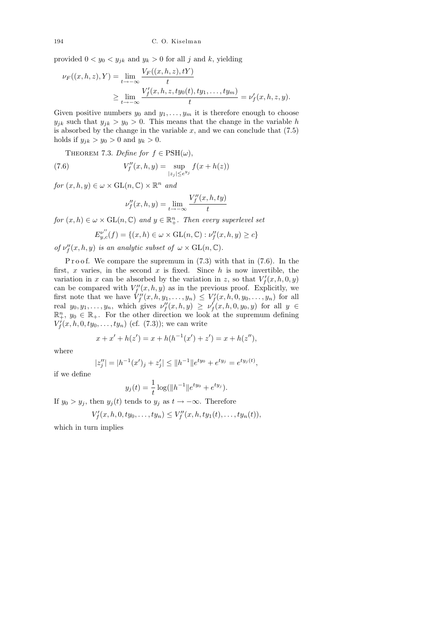194 C. O. Kiselman

provided  $0 < y_0 < y_{jk}$  and  $y_k > 0$  for all j and k, yielding

$$
\nu_F((x, h, z), Y) = \lim_{t \to -\infty} \frac{V_F((x, h, z), tY)}{t}
$$
  
 
$$
\geq \lim_{t \to -\infty} \frac{V'_f(x, h, z, ty_0(t), ty_1, \dots, ty_m)}{t} = \nu'_f(x, h, z, y).
$$

Given positive numbers  $y_0$  and  $y_1, \ldots, y_m$  it is therefore enough to choose  $y_{jk}$  such that  $y_{jk} > y_0 > 0$ . This means that the change in the variable h is absorbed by the change in the variable  $x$ , and we can conclude that  $(7.5)$ holds if  $y_{jk} > y_0 > 0$  and  $y_k > 0$ .

THEOREM 7.3. Define for  $f \in \text{PSH}(\omega)$ ,

(7.6) 
$$
V''_f(x, h, y) = \sup_{|z_j| \le e^{y_j}} f(x + h(z))
$$

for  $(x, h, y) \in \omega \times \mathrm{GL}(n, \mathbb{C}) \times \mathbb{R}^n$  and

$$
\nu_f''(x, h, y) = \lim_{t \to -\infty} \frac{V_f''(x, h, ty)}{t}
$$

for  $(x, h) \in \omega \times \mathrm{GL}(n, \mathbb{C})$  and  $y \in \mathbb{R}^n_+$ . Then every superlevel set

$$
E_{y,c}^{\nu''}(f) = \{(x,h) \in \omega \times \mathrm{GL}(n,\mathbb{C}) : \nu''_f(x,h,y) \ge c\}
$$

of  $\nu''_f(x, h, y)$  is an analytic subset of  $\omega \times \mathrm{GL}(n, \mathbb{C})$ .

P r o o f. We compare the supremum in  $(7.3)$  with that in  $(7.6)$ . In the first, x varies, in the second x is fixed. Since  $h$  is now invertible, the variation in x can be absorbed by the variation in z, so that  $V_f'(x, h, 0, y)$ can be compared with  $V_f''(x, h, y)$  as in the previous proof. Explicitly, we first note that we have  $V''_f(x, h, y_1, \ldots, y_n) \leq V'_f(x, h, 0, y_0, \ldots, y_n)$  for all real  $y_0, y_1, \ldots, y_n$ , which gives  $\nu''_f(x, h, y) \ge \nu'_f(x, h, 0, y_0, y)$  for all  $y \in$  $\mathbb{R}^n_+$ ,  $y_0 \in \mathbb{R}_+$ . For the other direction we look at the supremum defining  $V_f^{\prime}(x, h, 0, ty_0, \ldots, ty_n)$  (cf. (7.3)); we can write

$$
x + x' + h(z') = x + h(h^{-1}(x') + z') = x + h(z''),
$$

where

$$
|z''_j| = |h^{-1}(x')_j + z'_j| \le ||h^{-1}||e^{ty_0} + e^{ty_j} = e^{ty_j(t)},
$$

if we define

$$
y_j(t) = \frac{1}{t} \log(||h^{-1}||e^{ty_0} + e^{ty_j}).
$$

If  $y_0 > y_j$ , then  $y_j(t)$  tends to  $y_j$  as  $t \to -\infty$ . Therefore

$$
V'_{f}(x, h, 0, ty_0, \ldots, ty_n) \leq V''_{f}(x, h, ty_1(t), \ldots, ty_n(t)),
$$

which in turn implies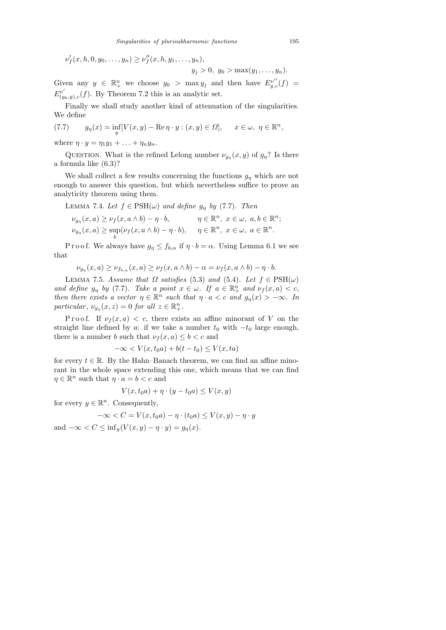$$
\nu'_{f}(x, h, 0, y_0, \ldots, y_n) \geq \nu''_{f}(x, h, y_1, \ldots, y_n),
$$

 $y_j > 0, y_0 > \max(y_1, \ldots, y_n).$ 

Given any  $y \in \mathbb{R}^n_+$  we choose  $y_0 > \max y_j$  and then have  $E_{y,c}^{v''}(f) =$  $E_{\ell n}^{\nu'}$  $\int_{(y_0,y),c}^{\nu'}(f)$ . By Theorem 7.2 this is an analytic set.

Finally we shall study another kind of attenuation of the singularities. We define

(7.7) 
$$
g_{\eta}(x) = \inf_{y} [V(x, y) - \operatorname{Re} \eta \cdot y : (x, y) \in \Omega], \quad x \in \omega, \ \eta \in \mathbb{R}^n,
$$

where  $\eta \cdot y = \eta_1 y_1 + \ldots + \eta_n y_n$ .

QUESTION. What is the refined Lelong number  $\nu_{g_{\eta}}(x, y)$  of  $g_{\eta}$ ? Is there a formula like (6.3)?

We shall collect a few results concerning the functions  $g_n$  which are not enough to answer this question, but which nevertheless suffice to prove an analyticity theorem using them.

LEMMA 7.4. Let  $f \in \text{PSH}(\omega)$  and define  $g_{\eta}$  by (7.7). Then

$$
\nu_{g_{\eta}}(x, a) \geq \nu_f(x, a \wedge b) - \eta \cdot b, \qquad \eta \in \mathbb{R}^n, \ x \in \omega, \ a, b \in \mathbb{R}^n; \nu_{g_{\eta}}(x, a) \geq \sup_b(\nu_f(x, a \wedge b) - \eta \cdot b), \qquad \eta \in \mathbb{R}^n, \ x \in \omega, \ a \in \mathbb{R}^n.
$$

P r o o f. We always have  $g_n \leq f_{b,\alpha}$  if  $\eta \cdot b = \alpha$ . Using Lemma 6.1 we see that

$$
\nu_{g_{\eta}}(x, a) \ge \nu_{f_{b,\alpha}}(x, a) \ge \nu_f(x, a \wedge b) - \alpha = \nu_f(x, a \wedge b) - \eta \cdot b.
$$

LEMMA 7.5. Assume that  $\Omega$  satisfies (5.3) and (5.4). Let  $f \in \text{PSH}(\omega)$ and define  $g_{\eta}$  by (7.7). Take a point  $x \in \omega$ . If  $a \in \mathbb{R}^n_+$  and  $\nu_f(x, a) < c$ , then there exists a vector  $\eta \in \mathbb{R}^n$  such that  $\eta \cdot a < c$  and  $g_{\eta}(x) > -\infty$ . In particular,  $\nu_{g_{\eta}}(x, z) = 0$  for all  $z \in \mathbb{R}^n_+$ .

Proof. If  $\nu_f(x, a) < c$ , there exists an affine minorant of V on the straight line defined by a: if we take a number  $t_0$  with  $-t_0$  large enough, there is a number b such that  $\nu_f(x, a) \leq b < c$  and

$$
-\infty < V(x, t_0 a) + b(t - t_0) \le V(x, ta)
$$

for every  $t \in \mathbb{R}$ . By the Hahn–Banach theorem, we can find an affine minorant in the whole space extending this one, which means that we can find  $\eta \in \mathbb{R}^n$  such that  $\eta \cdot a = b < c$  and

$$
V(x, t_0 a) + \eta \cdot (y - t_0 a) \le V(x, y)
$$

for every  $y \in \mathbb{R}^n$ . Consequently,

$$
-\infty < C = V(x, t_0 a) - \eta \cdot (t_0 a) \le V(x, y) - \eta \cdot y
$$

and  $-\infty < C \leq \inf_{y} (V(x, y) - \eta \cdot y) = g_n(x)$ .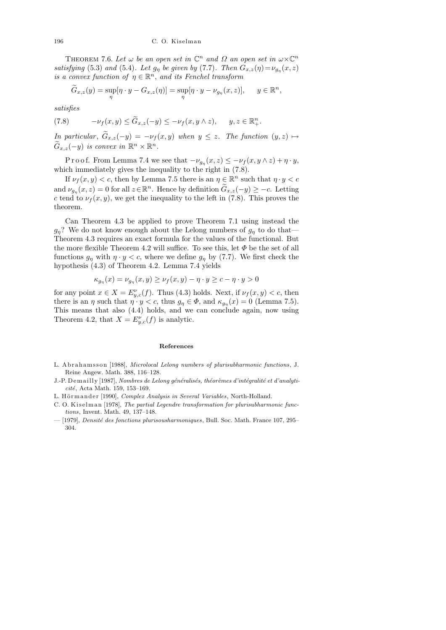THEOREM 7.6. Let  $\omega$  be an open set in  $\mathbb{C}^n$  and  $\Omega$  an open set in  $\omega \times \mathbb{C}^n$ satisfying (5.3) and (5.4). Let  $g_{\eta}$  be given by (7.7). Then  $G_{x,z}(\eta) = \nu_{g_{\eta}}(x,z)$ is a convex function of  $\eta \in \mathbb{R}^n$ , and its Fenchel transform

$$
\widetilde{G}_{x,z}(y) = \sup_{\eta} [\eta \cdot y - G_{x,z}(\eta)] = \sup_{\eta} [\eta \cdot y - \nu_{g_{\eta}}(x,z)], \quad y \in \mathbb{R}^n,
$$

satisfies

(7.8) 
$$
-\nu_f(x,y) \leq \widetilde{G}_{x,z}(-y) \leq -\nu_f(x,y \wedge z), \quad y,z \in \mathbb{R}^n_+.
$$

In particular,  $\widetilde{G}_{x,z}(-y) = -\nu_f(x,y)$  when  $y \leq z$ . The function  $(y, z) \mapsto$  $\widetilde{G}_{x,z}(-y)$  is convex in  $\mathbb{R}^n \times \mathbb{R}^n$ .

P r o o f. From Lemma 7.4 we see that  $-\nu_{g_{\eta}}(x, z) \leq -\nu_f(x, y \wedge z) + \eta \cdot y$ , which immediately gives the inequality to the right in  $(7.8)$ .

If  $\nu_f(x, y) < c$ , then by Lemma 7.5 there is an  $\eta \in \mathbb{R}^n$  such that  $\eta \cdot y < c$ and  $\nu_{g_{\eta}}(x, z) = 0$  for all  $z \in \mathbb{R}^n$ . Hence by definition  $\widetilde{G}_{x, z}(-y) \geq -c$ . Letting c tend to  $\nu_f(x, y)$ , we get the inequality to the left in (7.8). This proves the theorem.

Can Theorem 4.3 be applied to prove Theorem 7.1 using instead the  $g_n$ ? We do not know enough about the Lelong numbers of  $g_n$  to do that Theorem 4.3 requires an exact formula for the values of the functional. But the more flexible Theorem 4.2 will suffice. To see this, let  $\Phi$  be the set of all functions  $g_{\eta}$  with  $\eta \cdot y < c$ , where we define  $g_{\eta}$  by (7.7). We first check the hypothesis (4.3) of Theorem 4.2. Lemma 7.4 yields

$$
\kappa_{g_{\eta}}(x) = \nu_{g_{\eta}}(x, y) \ge \nu_f(x, y) - \eta \cdot y \ge c - \eta \cdot y > 0
$$

for any point  $x \in X = E_{y,c}^{\nu}(f)$ . Thus (4.3) holds. Next, if  $\nu_f(x, y) < c$ , then there is an  $\eta$  such that  $\eta \cdot y < c$ , thus  $g_{\eta} \in \Phi$ , and  $\kappa_{g_{\eta}}(x) = 0$  (Lemma 7.5). This means that also (4.4) holds, and we can conclude again, now using Theorem 4.2, that  $X = E_{y,c}^{\nu}(f)$  is analytic.

## **References**

- L. A b r a h am s s on [1988], *Microlocal Lelong numbers of plurisubharmonic functions*, J. Reine Angew. Math. 388, 116–128.
- J.-P. Demailly [1987], *Nombres de Lelong généralisés*, théorèmes d'intégralité et d'analyti*cité*, Acta Math. 159, 153-169.
- L. Hörmander [1990], *Complex Analysis in Several Variables*, North-Holland.
- C. O. Kiselman [1978], *The partial Legendre transformation for plurisubharmonic functions*, Invent. Math. 49, 137–148.
- [1979], *Densit´e des fonctions plurisousharmoniques*, Bull. Soc. Math. France 107, 295– 304.